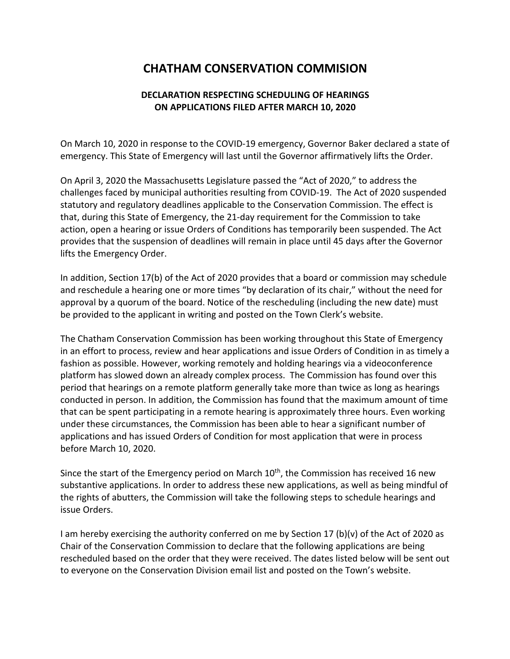## **CHATHAM CONSERVATION COMMISION**

## **DECLARATION RESPECTING SCHEDULING OF HEARINGS ON APPLICATIONS FILED AFTER MARCH 10, 2020**

On March 10, 2020 in response to the COVID-19 emergency, Governor Baker declared a state of emergency. This State of Emergency will last until the Governor affirmatively lifts the Order.

On April 3, 2020 the Massachusetts Legislature passed the "Act of 2020," to address the challenges faced by municipal authorities resulting from COVID-19. The Act of 2020 suspended statutory and regulatory deadlines applicable to the Conservation Commission. The effect is that, during this State of Emergency, the 21-day requirement for the Commission to take action, open a hearing or issue Orders of Conditions has temporarily been suspended. The Act provides that the suspension of deadlines will remain in place until 45 days after the Governor lifts the Emergency Order.

In addition, Section 17(b) of the Act of 2020 provides that a board or commission may schedule and reschedule a hearing one or more times "by declaration of its chair," without the need for approval by a quorum of the board. Notice of the rescheduling (including the new date) must be provided to the applicant in writing and posted on the Town Clerk's website.

The Chatham Conservation Commission has been working throughout this State of Emergency in an effort to process, review and hear applications and issue Orders of Condition in as timely a fashion as possible. However, working remotely and holding hearings via a videoconference platform has slowed down an already complex process. The Commission has found over this period that hearings on a remote platform generally take more than twice as long as hearings conducted in person. In addition, the Commission has found that the maximum amount of time that can be spent participating in a remote hearing is approximately three hours. Even working under these circumstances, the Commission has been able to hear a significant number of applications and has issued Orders of Condition for most application that were in process before March 10, 2020.

Since the start of the Emergency period on March  $10<sup>th</sup>$ , the Commission has received 16 new substantive applications. ln order to address these new applications, as well as being mindful of the rights of abutters, the Commission will take the following steps to schedule hearings and issue Orders.

I am hereby exercising the authority conferred on me by Section 17 (b)(v) of the Act of 2020 as Chair of the Conservation Commission to declare that the following applications are being rescheduled based on the order that they were received. The dates listed below will be sent out to everyone on the Conservation Division email list and posted on the Town's website.